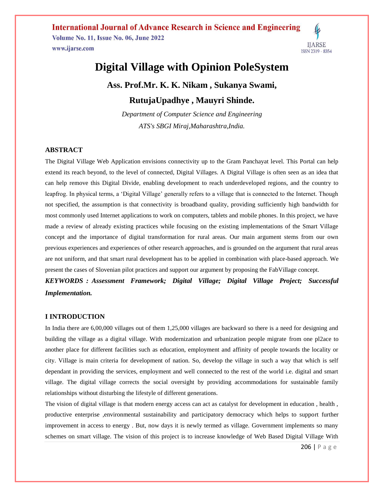**International Journal of Advance Research in Science and Engineering Volume No. 11, Issue No. 06, June 2022** www.ijarse.com ISSN 2319 - 8354

# **Digital Village with Opinion PoleSystem**

**Ass. Prof.Mr. K. K. Nikam , Sukanya Swami, RutujaUpadhye , Mauyri Shinde.**

*Department of Computer Science and Engineering ATS's SBGI Miraj,Maharashtra,India.*

#### **ABSTRACT**

The Digital Village Web Application envisions connectivity up to the Gram Panchayat level. This Portal can help extend its reach beyond, to the level of connected, Digital Villages. A Digital Village is often seen as an idea that can help remove this Digital Divide, enabling development to reach underdeveloped regions, and the country to leapfrog. In physical terms, a 'Digital Village' generally refers to a village that is connected to the Internet. Though not specified, the assumption is that connectivity is broadband quality, providing sufficiently high bandwidth for most commonly used Internet applications to work on computers, tablets and mobile phones. In this project, we have made a review of already existing practices while focusing on the existing implementations of the Smart Village concept and the importance of digital transformation for rural areas. Our main argument stems from our own previous experiences and experiences of other research approaches, and is grounded on the argument that rural areas are not uniform, and that smart rural development has to be applied in combination with place-based approach. We present the cases of Slovenian pilot practices and support our argument by proposing the FabVillage concept.

*KEYWORDS : Assessment Framework; Digital Village; Digital Village Project; Successful Implementation.*

#### **I INTRODUCTION**

In India there are 6,00,000 villages out of them 1,25,000 villages are backward so there is a need for designing and building the village as a digital village. With modernization and urbanization people migrate from one pl2ace to another place for different facilities such as education, employment and affinity of people towards the locality or city. Village is main criteria for development of nation. So, develop the village in such a way that which is self dependant in providing the services, employment and well connected to the rest of the world i.e. digital and smart village. The digital village corrects the social oversight by providing accommodations for sustainable family relationships without disturbing the lifestyle of different generations.

The vision of digital village is that modern energy access can act as catalyst for development in education , health , productive enterprise ,environmental sustainability and participatory democracy which helps to support further improvement in access to energy . But, now days it is newly termed as village. Government implements so many schemes on smart village. The vision of this project is to increase knowledge of Web Based Digital Village With

206 | P a g e

**IJARSE**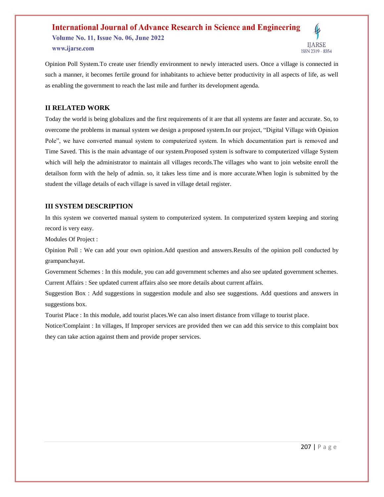### **International Journal of Advance Research in Science and Engineering Volume No. 11, Issue No. 06, June 2022** www.ijarse.com **ISSN 2319 - 8354**



#### **II RELATED WORK**

Today the world is being globalizes and the first requirements of it are that all systems are faster and accurate. So, to overcome the problems in manual system we design a proposed system.In our project, "Digital Village with Opinion Pole", we have converted manual system to computerized system. In which documentation part is removed and Time Saved. This is the main advantage of our system.Proposed system is software to computerized village System which will help the administrator to maintain all villages records.The villages who want to join website enroll the detailson form with the help of admin. so, it takes less time and is more accurate.When login is submitted by the student the village details of each village is saved in village detail register.

### **III SYSTEM DESCRIPTION**

In this system we converted manual system to computerized system. In computerized system keeping and storing record is very easy.

Modules Of Project :

Opinion Poll : We can add your own opinion.Add question and answers.Results of the opinion poll conducted by grampanchayat.

Government Schemes : In this module, you can add government schemes and also see updated government schemes. Current Affairs : See updated current affairs also see more details about current affairs.

Suggestion Box : Add suggestions in suggestion module and also see suggestions. Add questions and answers in suggestions box.

Tourist Place : In this module, add tourist places.We can also insert distance from village to tourist place.

Notice/Complaint : In villages, If Improper services are provided then we can add this service to this complaint box they can take action against them and provide proper services.

**IIARSE**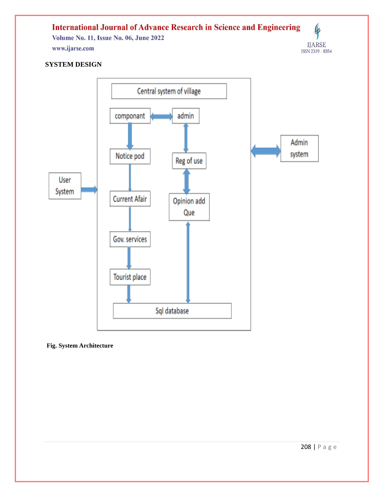#### **International Journal of Advance Research in Science and Engineering**  $\pmb{\varphi}$ **Volume No. 11, Issue No. 06, June 2022**  $\begin{array}{c} \text{IJARSE} \\ \text{ISSN 2319 - 8354} \end{array}$ www.ijarse.com

## **SYSTEM DESIGN**



**Fig. System Architecture**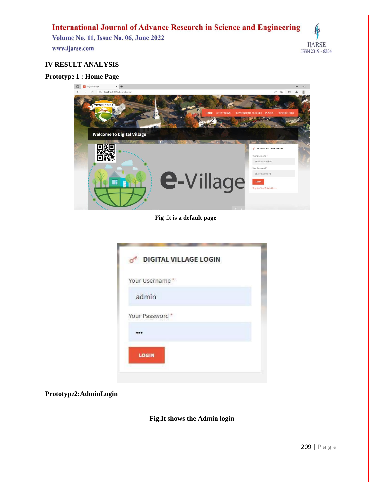## **International Journal of Advance Research in Science and Engineering**

Volume No. 11, Issue No. 06, June 2022 www.ijarse.com



## **IV RESULT ANALYSIS**

### **Prototype 1 : Home Page**



### **Fig .It is a default page**

|                 | DIGITAL VILLAGE LOGIN |  |
|-----------------|-----------------------|--|
| Your Username*  |                       |  |
| admin           |                       |  |
| Your Password * |                       |  |
|                 |                       |  |
| LOGIN           |                       |  |

### **Prototype2:AdminLogin**

### **Fig.It shows the Admin login**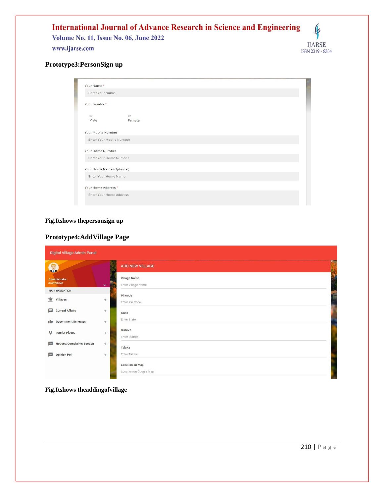

## **Prototype3:PersonSign up**

| Enter Your Name           |                |  |  |
|---------------------------|----------------|--|--|
| Your Gender*              |                |  |  |
| $\odot$                   | $\circledcirc$ |  |  |
| Male                      | Female         |  |  |
| Your Mobile Number        |                |  |  |
| Enter Your Mobile Number  |                |  |  |
| Your Home Number          |                |  |  |
| Enter Your Home Number    |                |  |  |
| Your Home Name (Optional) |                |  |  |
| Enter Your Home Name      |                |  |  |
| Your Home Address *       |                |  |  |
|                           |                |  |  |

### **Fig.Itshows thepersonsign up**

### **Prototype4:AddVillage Page**

| Digital Village Admin Panel                     |                                                                |  |  |  |  |
|-------------------------------------------------|----------------------------------------------------------------|--|--|--|--|
| Q                                               | <b>WEALT</b><br>ADD NEW VILLAGE                                |  |  |  |  |
| Administrator<br>8748748748                     | <b>Village Name</b><br>F<br>Enter Village Name<br>$\mathbf{v}$ |  |  |  |  |
| <b>MAIN NAVIGATION</b>                          | Pincode                                                        |  |  |  |  |
| $\hat{m}$ Villages                              | $+$<br>Enter Pin Code                                          |  |  |  |  |
| $\blacksquare$<br><b>Current Affairs</b>        | $+$<br>State<br>Enter State                                    |  |  |  |  |
| <b>Government Schemes</b><br>۱Ď                 | $+$<br><b>District</b>                                         |  |  |  |  |
| $\circ$<br><b>Tourist Places</b>                | $+$<br><b>Enter District</b>                                   |  |  |  |  |
| <b>COL</b><br><b>Notices/Complaints Section</b> | $+$<br>Taluka                                                  |  |  |  |  |
| $\cdots$<br><b>Opinion Poll</b>                 | Enter Taluka<br>$+$                                            |  |  |  |  |
|                                                 | <b>Location on Map</b><br>Location on Google Map               |  |  |  |  |

### **Fig.Itshows theaddingofvillage**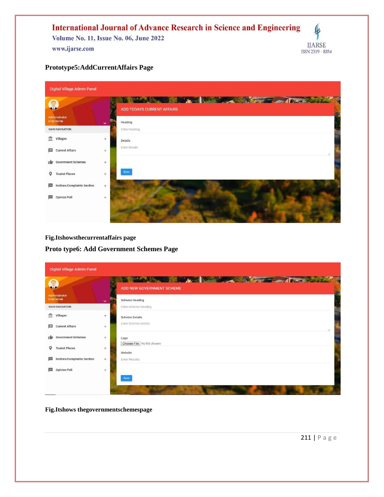

### **Prototype5:AddCurrentAffairs Page**

| Digital Village Admin Panel            |                                                                                                                                                                                                                                                                    |  |
|----------------------------------------|--------------------------------------------------------------------------------------------------------------------------------------------------------------------------------------------------------------------------------------------------------------------|--|
|                                        | <b>All the property of the All the County of the County of the County of the County of the County of the County of the County of the County of the County of the County of the County of the County of the County of the County </b><br>ADD TODAYS CURRENT AFFAIRS |  |
| Administrator<br>8748748748            | Heading<br>$\checkmark$                                                                                                                                                                                                                                            |  |
| <b>MAIN NAVIGATION</b>                 | Enter Heading                                                                                                                                                                                                                                                      |  |
| <b>III</b> Villages                    | $+$<br><b>Details</b>                                                                                                                                                                                                                                              |  |
| E<br><b>Current Affairs</b>            | <b>Enter Details</b><br>$+$                                                                                                                                                                                                                                        |  |
| <b>Government Schemes</b>              | $^{+}$                                                                                                                                                                                                                                                             |  |
| o<br><b>Tourist Places</b>             | Save<br>$+$                                                                                                                                                                                                                                                        |  |
| <b>Notices/Complaints Section</b><br>m | $+$                                                                                                                                                                                                                                                                |  |
| <b>Opinion Poll</b><br>m.              | $+$                                                                                                                                                                                                                                                                |  |
|                                        |                                                                                                                                                                                                                                                                    |  |

**Fig.Itshowsthecurrentaffairs page**

**Proto type6: Add Government Schemes Page**

| <b>Digital Village Admin Panel</b> |                             |              |                                                                         |  |  |
|------------------------------------|-----------------------------|--------------|-------------------------------------------------------------------------|--|--|
| $\epsilon$<br><b>SAP</b>           |                             |              | <b>AND AND AND AND ARREST OF A PARTIES</b><br>ADD NEW GOVERNMENT SCHEME |  |  |
|                                    | Administrator<br>8748748748 | $\checkmark$ | <b>Scheme Heading</b>                                                   |  |  |
|                                    | <b>MAIN NAVIGATION</b>      |              | Enter Scheme Heading                                                    |  |  |
|                                    | <b>III</b> Villages         | $+$          | <b>Scheme Details</b>                                                   |  |  |
| 圓                                  | <b>Current Affairs</b>      | $+$          | Enter Scheme Details                                                    |  |  |
| ۱Ď                                 | <b>Government Schemes</b>   | $+$          | Logo                                                                    |  |  |
| o                                  | <b>Tourist Places</b>       | $+$          | Choose File No file chosen<br>Website                                   |  |  |
| $\left  \cdots \right $            | Notices/Complaints Section  | $+$          | Enter Website                                                           |  |  |
| $\sim$                             | <b>Opinion Poll</b>         | $+$          |                                                                         |  |  |
|                                    |                             |              | Save                                                                    |  |  |
|                                    |                             |              |                                                                         |  |  |

**Fig.Itshows thegovernmentschemespage**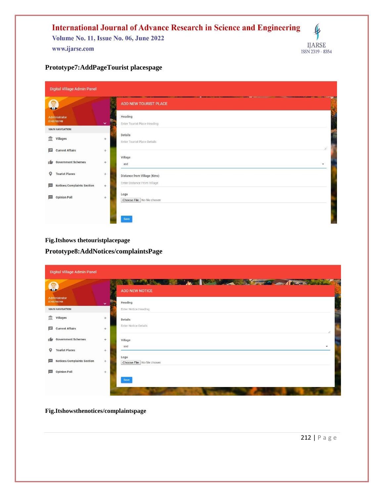

## **Prototype7:AddPageTourist placespage**

| Digital Village Admin Panel                 |                    |                                                            |    |  |
|---------------------------------------------|--------------------|------------------------------------------------------------|----|--|
| $\sqrt{2}$<br><b>SAP</b>                    |                    | ADD NEW TOURIST PLACE                                      |    |  |
| Administrator<br>8748748748                 | FR<br>$\checkmark$ | Heading<br>Enter Tourist Place Heading                     |    |  |
| <b>MAIN NAVIGATION</b>                      |                    | <b>Details</b>                                             |    |  |
| $\frac{1}{111}$ Villages                    | $+$                | Enter Tourist Place Details                                | r. |  |
| <b>Current Affairs</b><br>Е                 | $+$                | Village                                                    |    |  |
| <b>Government Schemes</b><br>۱ŵ             | $+$                | asd<br>$\blacktriangledown$                                |    |  |
| o<br><b>Tourist Places</b>                  | $+$                | Distance from Village (Kms)<br>Enter Distance From Village |    |  |
| <b>Notices/Complaints Section</b><br>$\sim$ | $+$                | Logo                                                       |    |  |
| <b>Opinion Poll</b><br>▥                    | $+$                | Choose File No file chosen                                 |    |  |
|                                             |                    | Save                                                       |    |  |

**Fig.Itshows thetouristplacepage**

**Prototype8:AddNotices/complaintsPage**

| <b>Digital Village Admin Panel</b>     |                     |                                                                                                                                                                                                                                                               |  |
|----------------------------------------|---------------------|---------------------------------------------------------------------------------------------------------------------------------------------------------------------------------------------------------------------------------------------------------------|--|
| $\pi\sigma$                            |                     | <b>All the Manual Street, the Committee of the Committee of the Committee of the Committee of the Committee of the Committee of the Committee of the Committee of the Committee of the Committee of the Committee of the Committ</b><br><b>ADD NEW NOTICE</b> |  |
| Administrator<br>8748748748            | $\checkmark$<br>. . | Heading                                                                                                                                                                                                                                                       |  |
| <b>MAIN NAVIGATION</b>                 |                     | <b>Enter Notice Heading</b>                                                                                                                                                                                                                                   |  |
| <b>111</b> Villages                    | $+$                 | <b>Details</b>                                                                                                                                                                                                                                                |  |
| ⊟<br><b>Current Affairs</b>            | $+$                 | Enter Notice Details                                                                                                                                                                                                                                          |  |
| <b>Government Schemes</b><br>ı film    | $+$                 | Village                                                                                                                                                                                                                                                       |  |
| $\circ$<br><b>Tourist Places</b>       | $+$                 | asd<br>٠                                                                                                                                                                                                                                                      |  |
| Notices/Complaints Section<br>$\cdots$ | $+$                 | Logo<br>Choose File   No file chosen                                                                                                                                                                                                                          |  |
| <b>Opinion Poll</b><br>$\cdots$        | $+$                 |                                                                                                                                                                                                                                                               |  |
|                                        |                     | Save                                                                                                                                                                                                                                                          |  |
|                                        |                     |                                                                                                                                                                                                                                                               |  |

**Fig.Itshowsthenotices/complaintspage**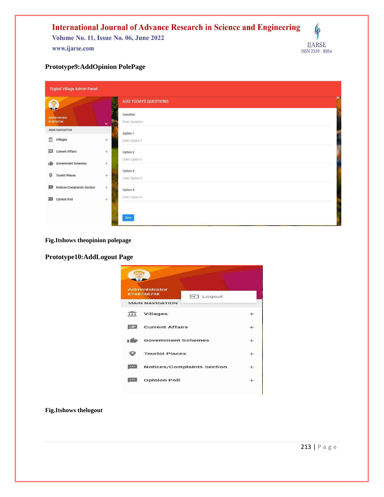#### **International Journal of Advance Research in Science and Engineering**  $\pmb{\varphi}$ **Volume No. 11, Issue No. 06, June 2022 IJARSE** www.ijarse.com ISSN 2319 - 8354

### **Prototype9:AddOpinion PolePage**

| Digital Village Admin Panel            |              |                            |     |  |  |
|----------------------------------------|--------------|----------------------------|-----|--|--|
| Q                                      |              | ADD TODAYS QUESTIONS       | pe. |  |  |
| Administrator<br>8748748748            | $\checkmark$ | Question<br>Enter Question |     |  |  |
| <b>MAIN NAVIGATION</b>                 |              | Option 1                   |     |  |  |
| $\overline{\mathbf{m}}$ Villages       | $+$          | Enter Option 1             |     |  |  |
| 曰<br><b>Current Affairs</b>            | $+$          | Option 2                   |     |  |  |
| <b>Government Schemes</b><br>۱ŵ        | $^{+}$       | Enter Option 2             |     |  |  |
| $\circ$<br><b>Tourist Places</b>       | $+$          | Option 3<br>Enter Option 3 |     |  |  |
| <b>Notices/Complaints Section</b><br>m | $+$          | Option 4                   |     |  |  |
| <b>Opinion Poll</b><br>画               | $+$          | Enter Option 4             |     |  |  |
|                                        |              | Save                       |     |  |  |

### **Fig.Itshows theopinion polepage**

### **Prototype10:AddLogout Page**



#### **Fig.Itshows thelogout**